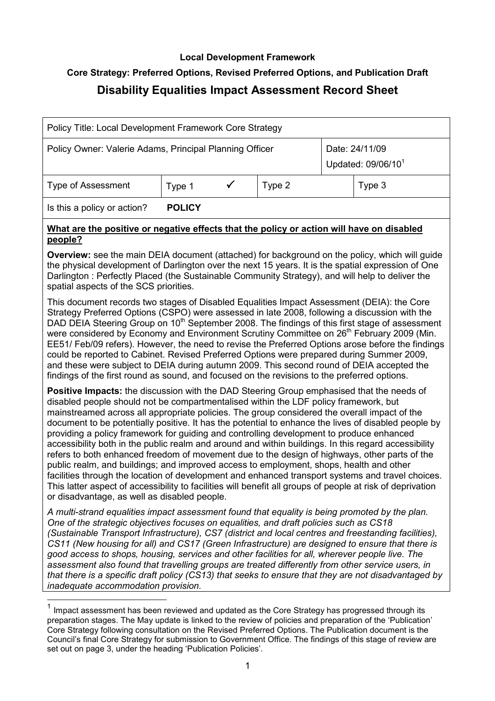## Local Development Framework

# Core Strategy: Preferred Options, Revised Preferred Options, and Publication Draft

# Disability Equalities Impact Assessment Record Sheet

| Policy Title: Local Development Framework Core Strategy                                              |               |  |        |                                                  |        |
|------------------------------------------------------------------------------------------------------|---------------|--|--------|--------------------------------------------------|--------|
| Policy Owner: Valerie Adams, Principal Planning Officer                                              |               |  |        | Date: 24/11/09<br>Updated: 09/06/10 <sup>1</sup> |        |
| <b>Type of Assessment</b>                                                                            | Type 1        |  | Type 2 |                                                  | Type 3 |
| Is this a policy or action?                                                                          | <b>POLICY</b> |  |        |                                                  |        |
| What are the positive or negative effects that the policy or action will have on disabled<br>people? |               |  |        |                                                  |        |

**Overview:** see the main DEIA document (attached) for background on the policy, which will guide the physical development of Darlington over the next 15 years. It is the spatial expression of One Darlington : Perfectly Placed (the Sustainable Community Strategy), and will help to deliver the spatial aspects of the SCS priorities.

 This document records two stages of Disabled Equalities Impact Assessment (DEIA): the Core Strategy Preferred Options (CSPO) were assessed in late 2008, following a discussion with the DAD DEIA Steering Group on 10<sup>th</sup> September 2008. The findings of this first stage of assessment were considered by Economy and Environment Scrutiny Committee on 26<sup>th</sup> February 2009 (Min. EE51/ Feb/09 refers). However, the need to revise the Preferred Options arose before the findings could be reported to Cabinet. Revised Preferred Options were prepared during Summer 2009, and these were subject to DEIA during autumn 2009. This second round of DEIA accepted the findings of the first round as sound, and focused on the revisions to the preferred options.

Positive Impacts: the discussion with the DAD Steering Group emphasised that the needs of disabled people should not be compartmentalised within the LDF policy framework, but mainstreamed across all appropriate policies. The group considered the overall impact of the document to be potentially positive. It has the potential to enhance the lives of disabled people by providing a policy framework for guiding and controlling development to produce enhanced accessibility both in the public realm and around and within buildings. In this regard accessibility refers to both enhanced freedom of movement due to the design of highways, other parts of the public realm, and buildings; and improved access to employment, shops, health and other facilities through the location of development and enhanced transport systems and travel choices. This latter aspect of accessibility to facilities will benefit all groups of people at risk of deprivation or disadvantage, as well as disabled people.

A multi-strand equalities impact assessment found that equality is being promoted by the plan. One of the strategic objectives focuses on equalities, and draft policies such as CS18 (Sustainable Transport Infrastructure), CS7 (district and local centres and freestanding facilities), CS11 (New housing for all) and CS17 (Green Infrastructure) are designed to ensure that there is good access to shops, housing, services and other facilities for all, wherever people live. The assessment also found that travelling groups are treated differently from other service users, in that there is a specific draft policy (CS13) that seeks to ensure that they are not disadvantaged by inadequate accommodation provision.

 Impact assessment has been reviewed and updated as the Core Strategy has progressed through its preparation stages. The May update is linked to the review of policies and preparation of the 'Publication' Core Strategy following consultation on the Revised Preferred Options. The Publication document is the Council's final Core Strategy for submission to Government Office. The findings of this stage of review are set out on page 3, under the heading 'Publication Policies'. 1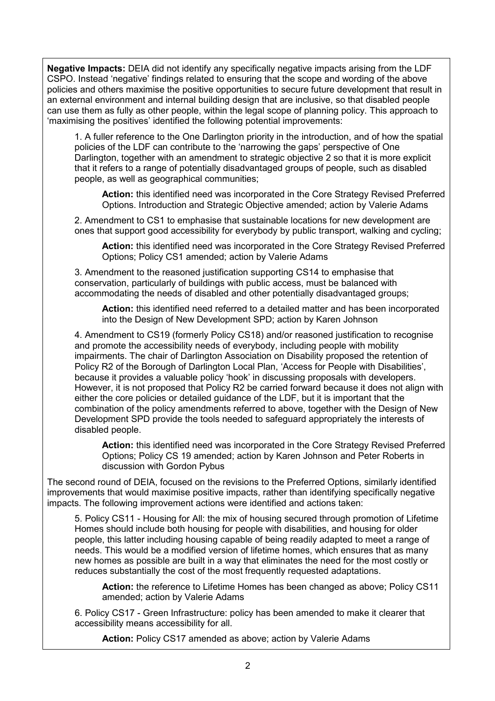Negative Impacts: DEIA did not identify any specifically negative impacts arising from the LDF CSPO. Instead 'negative' findings related to ensuring that the scope and wording of the above policies and others maximise the positive opportunities to secure future development that result in an external environment and internal building design that are inclusive, so that disabled people can use them as fully as other people, within the legal scope of planning policy. This approach to 'maximising the positives' identified the following potential improvements:

 1. A fuller reference to the One Darlington priority in the introduction, and of how the spatial policies of the LDF can contribute to the 'narrowing the gaps' perspective of One Darlington, together with an amendment to strategic objective 2 so that it is more explicit that it refers to a range of potentially disadvantaged groups of people, such as disabled people, as well as geographical communities;

**Action:** this identified need was incorporated in the Core Strategy Revised Preferred Options. Introduction and Strategic Objective amended; action by Valerie Adams

 2. Amendment to CS1 to emphasise that sustainable locations for new development are ones that support good accessibility for everybody by public transport, walking and cycling;

**Action:** this identified need was incorporated in the Core Strategy Revised Preferred Options; Policy CS1 amended; action by Valerie Adams

 3. Amendment to the reasoned justification supporting CS14 to emphasise that conservation, particularly of buildings with public access, must be balanced with accommodating the needs of disabled and other potentially disadvantaged groups;

**Action:** this identified need referred to a detailed matter and has been incorporated into the Design of New Development SPD; action by Karen Johnson

 4. Amendment to CS19 (formerly Policy CS18) and/or reasoned justification to recognise and promote the accessibility needs of everybody, including people with mobility impairments. The chair of Darlington Association on Disability proposed the retention of Policy R2 of the Borough of Darlington Local Plan, 'Access for People with Disabilities', because it provides a valuable policy 'hook' in discussing proposals with developers. However, it is not proposed that Policy R2 be carried forward because it does not align with either the core policies or detailed guidance of the LDF, but it is important that the combination of the policy amendments referred to above, together with the Design of New Development SPD provide the tools needed to safeguard appropriately the interests of disabled people.

**Action:** this identified need was incorporated in the Core Strategy Revised Preferred Options; Policy CS 19 amended; action by Karen Johnson and Peter Roberts in discussion with Gordon Pybus

 The second round of DEIA, focused on the revisions to the Preferred Options, similarly identified improvements that would maximise positive impacts, rather than identifying specifically negative impacts. The following improvement actions were identified and actions taken:

 5. Policy CS11 Housing for All: the mix of housing secured through promotion of Lifetime Homes should include both housing for people with disabilities, and housing for older people, this latter including housing capable of being readily adapted to meet a range of needs. This would be a modified version of lifetime homes, which ensures that as many new homes as possible are built in a way that eliminates the need for the most costly or reduces substantially the cost of the most frequently requested adaptations.

**Action:** the reference to Lifetime Homes has been changed as above; Policy CS11 amended; action by Valerie Adams

 6. Policy CS17 Green Infrastructure: policy has been amended to make it clearer that accessibility means accessibility for all.

**Action:** Policy CS17 amended as above; action by Valerie Adams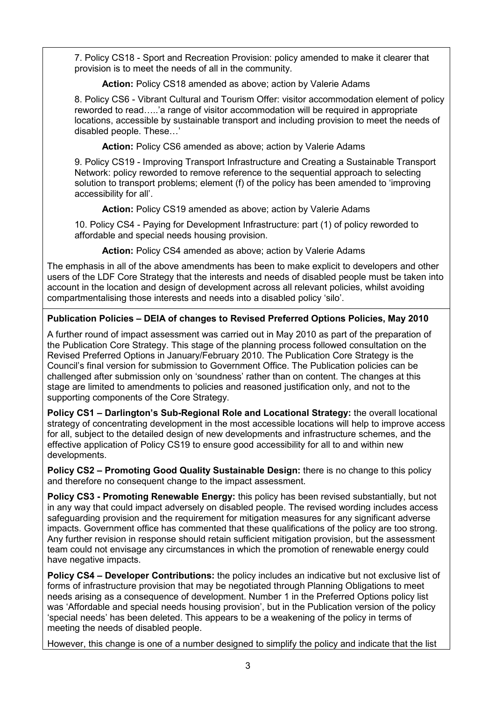7. Policy CS18 - Sport and Recreation Provision: policy amended to make it clearer that provision is to meet the needs of all in the community.

**Action:** Policy CS18 amended as above; action by Valerie Adams

 8. Policy CS6 Vibrant Cultural and Tourism Offer: visitor accommodation element of policy reworded to read…..'a range of visitor accommodation will be required in appropriate locations, accessible by sustainable transport and including provision to meet the needs of disabled people. These…'

**Action:** Policy CS6 amended as above; action by Valerie Adams

 9. Policy CS19 Improving Transport Infrastructure and Creating a Sustainable Transport Network: policy reworded to remove reference to the sequential approach to selecting solution to transport problems; element (f) of the policy has been amended to 'improving accessibility for all'.

**Action:** Policy CS19 amended as above; action by Valerie Adams

 10. Policy CS4 Paying for Development Infrastructure: part (1) of policy reworded to affordable and special needs housing provision.

**Action:** Policy CS4 amended as above; action by Valerie Adams

 The emphasis in all of the above amendments has been to make explicit to developers and other users of the LDF Core Strategy that the interests and needs of disabled people must be taken into account in the location and design of development across all relevant policies, whilst avoiding compartmentalising those interests and needs into a disabled policy 'silo'.

# Publication Policies – DEIA of changes to Revised Preferred Options Policies, May 2010

 A further round of impact assessment was carried out in May 2010 as part of the preparation of the Publication Core Strategy. This stage of the planning process followed consultation on the Revised Preferred Options in January/February 2010. The Publication Core Strategy is the Council's final version for submission to Government Office. The Publication policies can be challenged after submission only on 'soundness' rather than on content. The changes at this stage are limited to amendments to policies and reasoned justification only, and not to the supporting components of the Core Strategy.

Policy CS1 – Darlington's Sub-Regional Role and Locational Strategy: the overall locational strategy of concentrating development in the most accessible locations will help to improve access for all, subject to the detailed design of new developments and infrastructure schemes, and the effective application of Policy CS19 to ensure good accessibility for all to and within new developments.

Policy CS2 – Promoting Good Quality Sustainable Design: there is no change to this policy and therefore no consequent change to the impact assessment.

Policy CS3 - Promoting Renewable Energy: this policy has been revised substantially, but not in any way that could impact adversely on disabled people. The revised wording includes access safeguarding provision and the requirement for mitigation measures for any significant adverse impacts. Government office has commented that these qualifications of the policy are too strong. Any further revision in response should retain sufficient mitigation provision, but the assessment team could not envisage any circumstances in which the promotion of renewable energy could have negative impacts.

Policy CS4 – Developer Contributions: the policy includes an indicative but not exclusive list of forms of infrastructure provision that may be negotiated through Planning Obligations to meet needs arising as a consequence of development. Number 1 in the Preferred Options policy list was 'Affordable and special needs housing provision', but in the Publication version of the policy 'special needs' has been deleted. This appears to be a weakening of the policy in terms of meeting the needs of disabled people.

However, this change is one of a number designed to simplify the policy and indicate that the list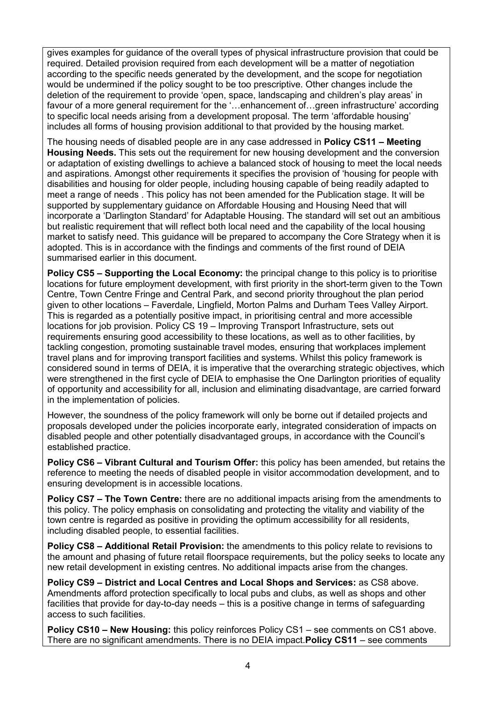gives examples for guidance of the overall types of physical infrastructure provision that could be required. Detailed provision required from each development will be a matter of negotiation according to the specific needs generated by the development, and the scope for negotiation would be undermined if the policy sought to be too prescriptive. Other changes include the deletion of the requirement to provide 'open, space, landscaping and children's play areas' in favour of a more general requirement for the '…enhancement of…green infrastructure' according to specific local needs arising from a development proposal. The term 'affordable housing' includes all forms of housing provision additional to that provided by the housing market.

The housing needs of disabled people are in any case addressed in Policy CS11 – Meeting Housing Needs. This sets out the requirement for new housing development and the conversion or adaptation of existing dwellings to achieve a balanced stock of housing to meet the local needs and aspirations. Amongst other requirements it specifies the provision of 'housing for people with disabilities and housing for older people, including housing capable of being readily adapted to meet a range of needs . This policy has not been amended for the Publication stage. It will be supported by supplementary guidance on Affordable Housing and Housing Need that will incorporate a 'Darlington Standard' for Adaptable Housing. The standard will set out an ambitious but realistic requirement that will reflect both local need and the capability of the local housing market to satisfy need. This guidance will be prepared to accompany the Core Strategy when it is adopted. This is in accordance with the findings and comments of the first round of DEIA summarised earlier in this document.

Policy CS5 – Supporting the Local Economy: the principal change to this policy is to prioritise locations for future employment development, with first priority in the short-term given to the Town Centre, Town Centre Fringe and Central Park, and second priority throughout the plan period given to other locations – Faverdale, Lingfield, Morton Palms and Durham Tees Valley Airport. This is regarded as a potentially positive impact, in prioritising central and more accessible locations for job provision. Policy CS 19 – Improving Transport Infrastructure, sets out requirements ensuring good accessibility to these locations, as well as to other facilities, by tackling congestion, promoting sustainable travel modes, ensuring that workplaces implement travel plans and for improving transport facilities and systems. Whilst this policy framework is considered sound in terms of DEIA, it is imperative that the overarching strategic objectives, which were strengthened in the first cycle of DEIA to emphasise the One Darlington priorities of equality of opportunity and accessibility for all, inclusion and eliminating disadvantage, are carried forward in the implementation of policies.

 However, the soundness of the policy framework will only be borne out if detailed projects and proposals developed under the policies incorporate early, integrated consideration of impacts on disabled people and other potentially disadvantaged groups, in accordance with the Council's established practice.

Policy CS6 – Vibrant Cultural and Tourism Offer: this policy has been amended, but retains the reference to meeting the needs of disabled people in visitor accommodation development, and to ensuring development is in accessible locations.

Policy CS7 – The Town Centre: there are no additional impacts arising from the amendments to this policy. The policy emphasis on consolidating and protecting the vitality and viability of the town centre is regarded as positive in providing the optimum accessibility for all residents, including disabled people, to essential facilities.

Policy CS8 – Additional Retail Provision: the amendments to this policy relate to revisions to the amount and phasing of future retail floorspace requirements, but the policy seeks to locate any new retail development in existing centres. No additional impacts arise from the changes.

 Policy CS9 – District and Local Centres and Local Shops and Services: as CS8 above. Amendments afford protection specifically to local pubs and clubs, as well as shops and other facilities that provide for day-to-day needs – this is a positive change in terms of safeguarding access to such facilities.

Policy CS10 – New Housing: this policy reinforces Policy CS1 – see comments on CS1 above. There are no significant amendments. There is no DEIA impact. **Policy CS11** – see comments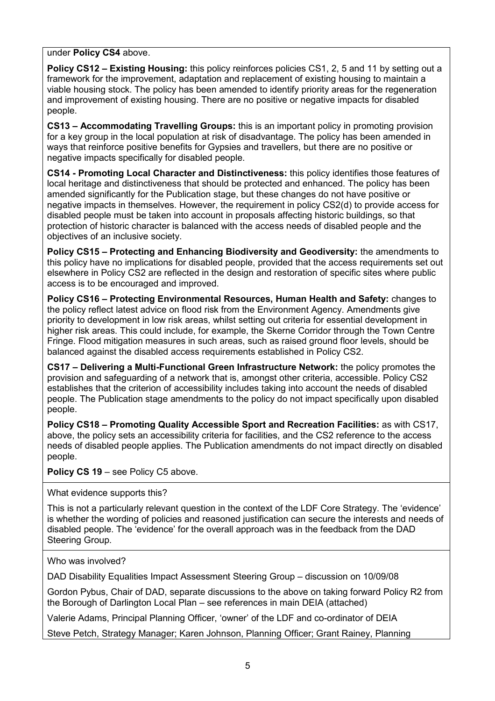under Policy CS4 above.

Policy CS12 – Existing Housing: this policy reinforces policies CS1, 2, 5 and 11 by setting out a framework for the improvement, adaptation and replacement of existing housing to maintain a viable housing stock. The policy has been amended to identify priority areas for the regeneration and improvement of existing housing. There are no positive or negative impacts for disabled people.

 CS13 – Accommodating Travelling Groups: this is an important policy in promoting provision for a key group in the local population at risk of disadvantage. The policy has been amended in ways that reinforce positive benefits for Gypsies and travellers, but there are no positive or negative impacts specifically for disabled people.

CS14 - Promoting Local Character and Distinctiveness: this policy identifies those features of local heritage and distinctiveness that should be protected and enhanced. The policy has been amended significantly for the Publication stage, but these changes do not have positive or negative impacts in themselves. However, the requirement in policy CS2(d) to provide access for disabled people must be taken into account in proposals affecting historic buildings, so that protection of historic character is balanced with the access needs of disabled people and the objectives of an inclusive society.

 Policy CS15 – Protecting and Enhancing Biodiversity and Geodiversity: the amendments to this policy have no implications for disabled people, provided that the access requirements set out elsewhere in Policy CS2 are reflected in the design and restoration of specific sites where public access is to be encouraged and improved.

 Policy CS16 – Protecting Environmental Resources, Human Health and Safety: changes to the policy reflect latest advice on flood risk from the Environment Agency. Amendments give priority to development in low risk areas, whilst setting out criteria for essential development in higher risk areas. This could include, for example, the Skerne Corridor through the Town Centre Fringe. Flood mitigation measures in such areas, such as raised ground floor levels, should be balanced against the disabled access requirements established in Policy CS2.

CS17 – Delivering a Multi-Functional Green Infrastructure Network: the policy promotes the provision and safeguarding of a network that is, amongst other criteria, accessible. Policy CS2 establishes that the criterion of accessibility includes taking into account the needs of disabled people. The Publication stage amendments to the policy do not impact specifically upon disabled people.

 Policy CS18 – Promoting Quality Accessible Sport and Recreation Facilities: as with CS17, above, the policy sets an accessibility criteria for facilities, and the CS2 reference to the access needs of disabled people applies. The Publication amendments do not impact directly on disabled people.

Policy CS 19 – see Policy C5 above.

What evidence supports this?

 This is not a particularly relevant question in the context of the LDF Core Strategy. The 'evidence' is whether the wording of policies and reasoned justification can secure the interests and needs of disabled people. The 'evidence' for the overall approach was in the feedback from the DAD Steering Group.

Who was involved?

DAD Disability Equalities Impact Assessment Steering Group – discussion on 10/09/08

 Gordon Pybus, Chair of DAD, separate discussions to the above on taking forward Policy R2 from the Borough of Darlington Local Plan – see references in main DEIA (attached)

Valerie Adams, Principal Planning Officer, 'owner' of the LDF and co-ordinator of DEIA

Steve Petch, Strategy Manager; Karen Johnson, Planning Officer; Grant Rainey, Planning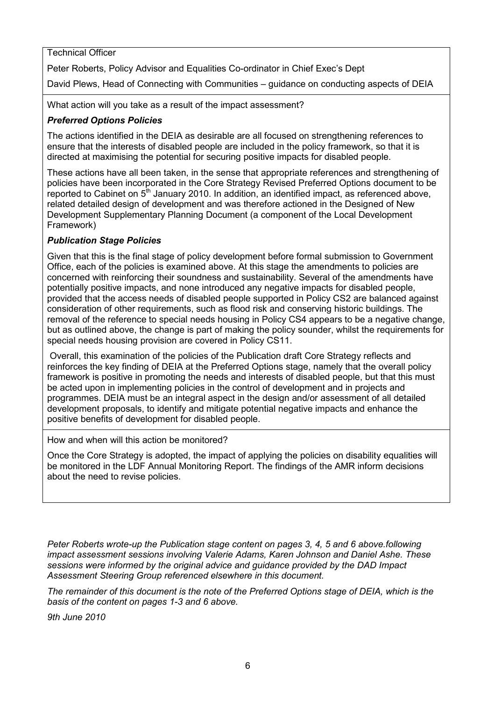## Technical Officer

Peter Roberts, Policy Advisor and Equalities Co-ordinator in Chief Exec's Dept

David Plews, Head of Connecting with Communities – guidance on conducting aspects of DEIA

What action will you take as a result of the impact assessment?

## Preferred Options Policies

 The actions identified in the DEIA as desirable are all focused on strengthening references to ensure that the interests of disabled people are included in the policy framework, so that it is directed at maximising the potential for securing positive impacts for disabled people.

 These actions have all been taken, in the sense that appropriate references and strengthening of policies have been incorporated in the Core Strategy Revised Preferred Options document to be reported to Cabinet on 5<sup>th</sup> January 2010. In addition, an identified impact, as referenced above, related detailed design of development and was therefore actioned in the Designed of New Development Supplementary Planning Document (a component of the Local Development Framework)

### Publication Stage Policies

 Given that this is the final stage of policy development before formal submission to Government Office, each of the policies is examined above. At this stage the amendments to policies are concerned with reinforcing their soundness and sustainability. Several of the amendments have potentially positive impacts, and none introduced any negative impacts for disabled people, provided that the access needs of disabled people supported in Policy CS2 are balanced against consideration of other requirements, such as flood risk and conserving historic buildings. The removal of the reference to special needs housing in Policy CS4 appears to be a negative change, but as outlined above, the change is part of making the policy sounder, whilst the requirements for special needs housing provision are covered in Policy CS11.

 Overall, this examination of the policies of the Publication draft Core Strategy reflects and reinforces the key finding of DEIA at the Preferred Options stage, namely that the overall policy framework is positive in promoting the needs and interests of disabled people, but that this must be acted upon in implementing policies in the control of development and in projects and programmes. DEIA must be an integral aspect in the design and/or assessment of all detailed development proposals, to identify and mitigate potential negative impacts and enhance the positive benefits of development for disabled people.

How and when will this action be monitored?

 Once the Core Strategy is adopted, the impact of applying the policies on disability equalities will be monitored in the LDF Annual Monitoring Report. The findings of the AMR inform decisions about the need to revise policies.

Peter Roberts wrote-up the Publication stage content on pages 3, 4, 5 and 6 above.following impact assessment sessions involving Valerie Adams, Karen Johnson and Daniel Ashe. These sessions were informed by the original advice and guidance provided by the DAD Impact Assessment Steering Group referenced elsewhere in this document.

 The remainder of this document is the note of the Preferred Options stage of DEIA, which is the basis of the content on pages 1-3 and 6 above.

9th June 2010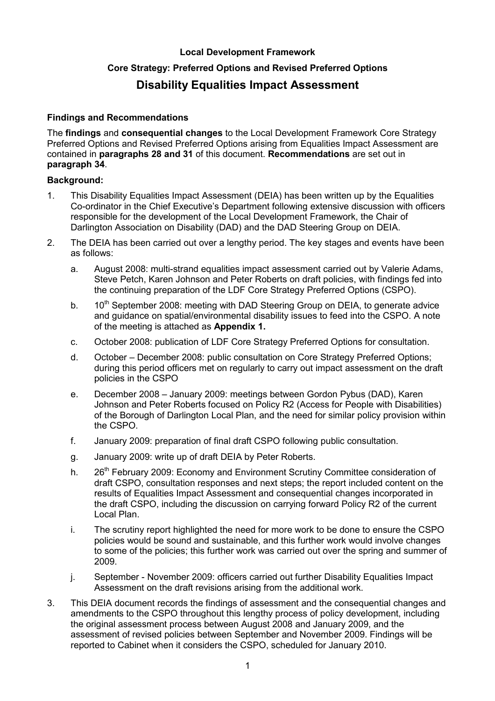### Local Development Framework

## Core Strategy: Preferred Options and Revised Preferred Options

# Disability Equalities Impact Assessment

#### Findings and Recommendations

The findings and consequential changes to the Local Development Framework Core Strategy Preferred Options and Revised Preferred Options arising from Equalities Impact Assessment are contained in paragraphs 28 and 31 of this document. Recommendations are set out in paragraph 34.

#### Background:

- 1. This Disability Equalities Impact Assessment (DEIA) has been written up by the Equalities Co-ordinator in the Chief Executive's Department following extensive discussion with officers responsible for the development of the Local Development Framework, the Chair of Darlington Association on Disability (DAD) and the DAD Steering Group on DEIA.
- 2. The DEIA has been carried out over a lengthy period. The key stages and events have been as follows:
	- a. August 2008: multi-strand equalities impact assessment carried out by Valerie Adams, Steve Petch, Karen Johnson and Peter Roberts on draft policies, with findings fed into the continuing preparation of the LDF Core Strategy Preferred Options (CSPO).
	- b.  $10^{th}$  September 2008: meeting with DAD Steering Group on DEIA, to generate advice and guidance on spatial/environmental disability issues to feed into the CSPO. A note of the meeting is attached as Appendix 1.
	- c. October 2008: publication of LDF Core Strategy Preferred Options for consultation.
	- d. October December 2008: public consultation on Core Strategy Preferred Options; during this period officers met on regularly to carry out impact assessment on the draft policies in the CSPO
	- e. December 2008 January 2009: meetings between Gordon Pybus (DAD), Karen Johnson and Peter Roberts focused on Policy R2 (Access for People with Disabilities) of the Borough of Darlington Local Plan, and the need for similar policy provision within the CSPO.
	- f. January 2009: preparation of final draft CSPO following public consultation.
	- g. January 2009: write up of draft DEIA by Peter Roberts.
	- h. 26<sup>th</sup> February 2009: Economy and Environment Scrutiny Committee consideration of draft CSPO, consultation responses and next steps; the report included content on the results of Equalities Impact Assessment and consequential changes incorporated in the draft CSPO, including the discussion on carrying forward Policy R2 of the current Local Plan.
	- i. The scrutiny report highlighted the need for more work to be done to ensure the CSPO policies would be sound and sustainable, and this further work would involve changes to some of the policies; this further work was carried out over the spring and summer of 2009.
	- j. September November 2009: officers carried out further Disability Equalities Impact Assessment on the draft revisions arising from the additional work.
- 3. This DEIA document records the findings of assessment and the consequential changes and amendments to the CSPO throughout this lengthy process of policy development, including the original assessment process between August 2008 and January 2009, and the assessment of revised policies between September and November 2009. Findings will be reported to Cabinet when it considers the CSPO, scheduled for January 2010.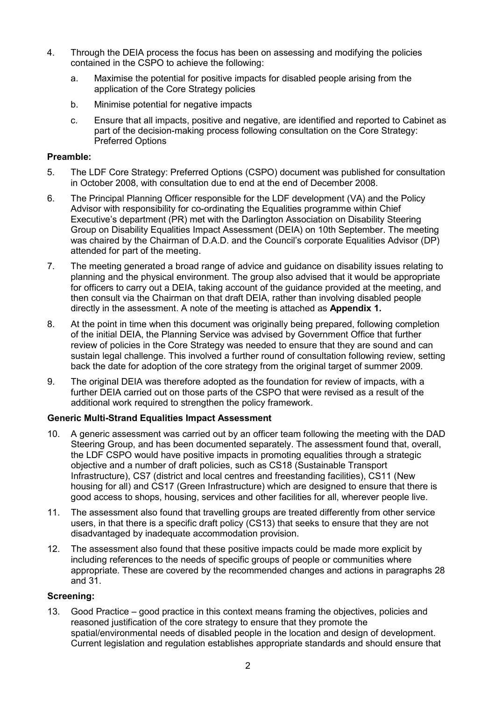- 4. Through the DEIA process the focus has been on assessing and modifying the policies contained in the CSPO to achieve the following:
	- a. Maximise the potential for positive impacts for disabled people arising from the application of the Core Strategy policies
	- b. Minimise potential for negative impacts
	- c. Ensure that all impacts, positive and negative, are identified and reported to Cabinet as part of the decision-making process following consultation on the Core Strategy: Preferred Options

### Preamble:

- 5. The LDF Core Strategy: Preferred Options (CSPO) document was published for consultation in October 2008, with consultation due to end at the end of December 2008.
- 6. The Principal Planning Officer responsible for the LDF development (VA) and the Policy Advisor with responsibility for co-ordinating the Equalities programme within Chief Executive's department (PR) met with the Darlington Association on Disability Steering Group on Disability Equalities Impact Assessment (DEIA) on 10th September. The meeting was chaired by the Chairman of D.A.D. and the Council's corporate Equalities Advisor (DP) attended for part of the meeting.
- 7. The meeting generated a broad range of advice and guidance on disability issues relating to planning and the physical environment. The group also advised that it would be appropriate for officers to carry out a DEIA, taking account of the guidance provided at the meeting, and then consult via the Chairman on that draft DEIA, rather than involving disabled people directly in the assessment. A note of the meeting is attached as Appendix 1.
- 8. At the point in time when this document was originally being prepared, following completion of the initial DEIA, the Planning Service was advised by Government Office that further review of policies in the Core Strategy was needed to ensure that they are sound and can sustain legal challenge. This involved a further round of consultation following review, setting back the date for adoption of the core strategy from the original target of summer 2009.
- 9. The original DEIA was therefore adopted as the foundation for review of impacts, with a further DEIA carried out on those parts of the CSPO that were revised as a result of the additional work required to strengthen the policy framework.

## **Generic Multi-Strand Equalities Impact Assessment**

- 10. A generic assessment was carried out by an officer team following the meeting with the DAD Steering Group, and has been documented separately. The assessment found that, overall, the LDF CSPO would have positive impacts in promoting equalities through a strategic objective and a number of draft policies, such as CS18 (Sustainable Transport Infrastructure), CS7 (district and local centres and freestanding facilities), CS11 (New housing for all) and CS17 (Green Infrastructure) which are designed to ensure that there is good access to shops, housing, services and other facilities for all, wherever people live.
- 11. The assessment also found that travelling groups are treated differently from other service users, in that there is a specific draft policy (CS13) that seeks to ensure that they are not disadvantaged by inadequate accommodation provision.
- 12. The assessment also found that these positive impacts could be made more explicit by including references to the needs of specific groups of people or communities where appropriate. These are covered by the recommended changes and actions in paragraphs 28 and 31.

### Screening:

13. Good Practice – good practice in this context means framing the objectives, policies and reasoned justification of the core strategy to ensure that they promote the spatial/environmental needs of disabled people in the location and design of development. Current legislation and regulation establishes appropriate standards and should ensure that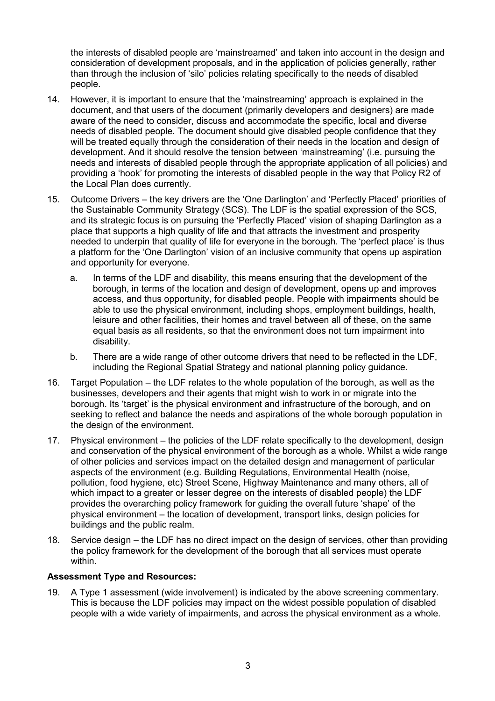the interests of disabled people are 'mainstreamed' and taken into account in the design and consideration of development proposals, and in the application of policies generally, rather than through the inclusion of 'silo' policies relating specifically to the needs of disabled people.

- 14. However, it is important to ensure that the 'mainstreaming' approach is explained in the document, and that users of the document (primarily developers and designers) are made aware of the need to consider, discuss and accommodate the specific, local and diverse needs of disabled people. The document should give disabled people confidence that they will be treated equally through the consideration of their needs in the location and design of development. And it should resolve the tension between 'mainstreaming' (i.e. pursuing the needs and interests of disabled people through the appropriate application of all policies) and providing a 'hook' for promoting the interests of disabled people in the way that Policy R2 of the Local Plan does currently.
- 15. Outcome Drivers the key drivers are the 'One Darlington' and 'Perfectly Placed' priorities of the Sustainable Community Strategy (SCS). The LDF is the spatial expression of the SCS, and its strategic focus is on pursuing the 'Perfectly Placed' vision of shaping Darlington as a place that supports a high quality of life and that attracts the investment and prosperity needed to underpin that quality of life for everyone in the borough. The 'perfect place' is thus a platform for the 'One Darlington' vision of an inclusive community that opens up aspiration and opportunity for everyone.
	- a. In terms of the LDF and disability, this means ensuring that the development of the borough, in terms of the location and design of development, opens up and improves access, and thus opportunity, for disabled people. People with impairments should be able to use the physical environment, including shops, employment buildings, health, leisure and other facilities, their homes and travel between all of these, on the same equal basis as all residents, so that the environment does not turn impairment into disability.
	- b. There are a wide range of other outcome drivers that need to be reflected in the LDF, including the Regional Spatial Strategy and national planning policy guidance.
- 16. Target Population the LDF relates to the whole population of the borough, as well as the businesses, developers and their agents that might wish to work in or migrate into the borough. Its 'target' is the physical environment and infrastructure of the borough, and on seeking to reflect and balance the needs and aspirations of the whole borough population in the design of the environment.
- 17. Physical environment the policies of the LDF relate specifically to the development, design and conservation of the physical environment of the borough as a whole. Whilst a wide range of other policies and services impact on the detailed design and management of particular aspects of the environment (e.g. Building Regulations, Environmental Health (noise, pollution, food hygiene, etc) Street Scene, Highway Maintenance and many others, all of which impact to a greater or lesser degree on the interests of disabled people) the LDF provides the overarching policy framework for guiding the overall future 'shape' of the physical environment – the location of development, transport links, design policies for buildings and the public realm.
- 18. Service design the LDF has no direct impact on the design of services, other than providing the policy framework for the development of the borough that all services must operate within.

### Assessment Type and Resources:

19. A Type 1 assessment (wide involvement) is indicated by the above screening commentary. This is because the LDF policies may impact on the widest possible population of disabled people with a wide variety of impairments, and across the physical environment as a whole.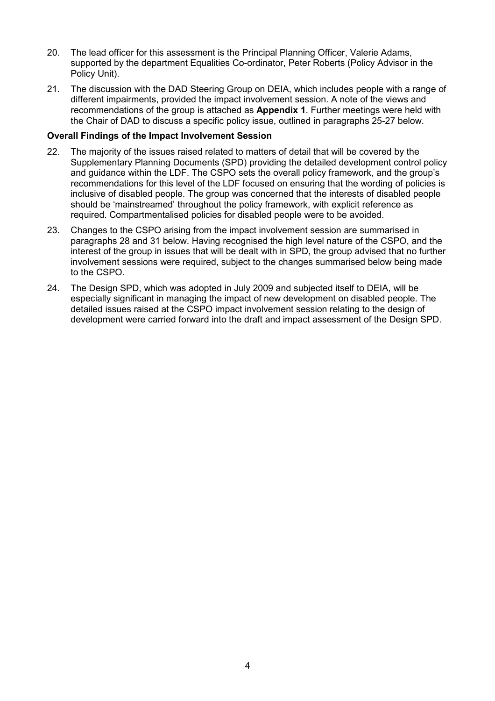- 20. The lead officer for this assessment is the Principal Planning Officer, Valerie Adams, supported by the department Equalities Co-ordinator, Peter Roberts (Policy Advisor in the Policy Unit).
- 21. The discussion with the DAD Steering Group on DEIA, which includes people with a range of different impairments, provided the impact involvement session. A note of the views and recommendations of the group is attached as **Appendix 1**. Further meetings were held with the Chair of DAD to discuss a specific policy issue, outlined in paragraphs 25-27 below.

### Overall Findings of the Impact Involvement Session

- 22. The majority of the issues raised related to matters of detail that will be covered by the Supplementary Planning Documents (SPD) providing the detailed development control policy and guidance within the LDF. The CSPO sets the overall policy framework, and the group's recommendations for this level of the LDF focused on ensuring that the wording of policies is inclusive of disabled people. The group was concerned that the interests of disabled people should be 'mainstreamed' throughout the policy framework, with explicit reference as required. Compartmentalised policies for disabled people were to be avoided.
- 23. Changes to the CSPO arising from the impact involvement session are summarised in paragraphs 28 and 31 below. Having recognised the high level nature of the CSPO, and the interest of the group in issues that will be dealt with in SPD, the group advised that no further involvement sessions were required, subject to the changes summarised below being made to the CSPO.
- 24. The Design SPD, which was adopted in July 2009 and subjected itself to DEIA, will be especially significant in managing the impact of new development on disabled people. The detailed issues raised at the CSPO impact involvement session relating to the design of development were carried forward into the draft and impact assessment of the Design SPD.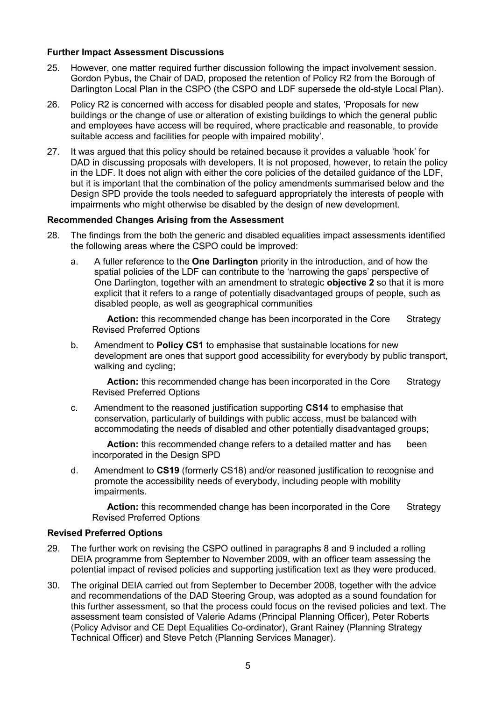#### Further Impact Assessment Discussions

- 25. However, one matter required further discussion following the impact involvement session. Gordon Pybus, the Chair of DAD, proposed the retention of Policy R2 from the Borough of Darlington Local Plan in the CSPO (the CSPO and LDF supersede the old-style Local Plan).
- 26. Policy R2 is concerned with access for disabled people and states, 'Proposals for new buildings or the change of use or alteration of existing buildings to which the general public and employees have access will be required, where practicable and reasonable, to provide suitable access and facilities for people with impaired mobility'.
- 27. It was argued that this policy should be retained because it provides a valuable 'hook' for DAD in discussing proposals with developers. It is not proposed, however, to retain the policy in the LDF. It does not align with either the core policies of the detailed guidance of the LDF, but it is important that the combination of the policy amendments summarised below and the Design SPD provide the tools needed to safeguard appropriately the interests of people with impairments who might otherwise be disabled by the design of new development.

### Recommended Changes Arising from the Assessment

- 28. The findings from the both the generic and disabled equalities impact assessments identified the following areas where the CSPO could be improved:
	- a. A fuller reference to the **One Darlington** priority in the introduction, and of how the spatial policies of the LDF can contribute to the 'narrowing the gaps' perspective of One Darlington, together with an amendment to strategic **objective 2** so that it is more explicit that it refers to a range of potentially disadvantaged groups of people, such as disabled people, as well as geographical communities

**Action:** this recommended change has been incorporated in the Core Strategy Revised Preferred Options

b. Amendment to **Policy CS1** to emphasise that sustainable locations for new development are ones that support good accessibility for everybody by public transport, walking and cycling;

**Action:** this recommended change has been incorporated in the Core Strategy Revised Preferred Options

c. Amendment to the reasoned justification supporting CS14 to emphasise that conservation, particularly of buildings with public access, must be balanced with accommodating the needs of disabled and other potentially disadvantaged groups;

**Action:** this recommended change refers to a detailed matter and has been incorporated in the Design SPD

d. Amendment to CS19 (formerly CS18) and/or reasoned justification to recognise and promote the accessibility needs of everybody, including people with mobility impairments.

**Action:** this recommended change has been incorporated in the Core Strategy Revised Preferred Options

#### Revised Preferred Options

- 29. The further work on revising the CSPO outlined in paragraphs 8 and 9 included a rolling DEIA programme from September to November 2009, with an officer team assessing the potential impact of revised policies and supporting justification text as they were produced.
- 30. The original DEIA carried out from September to December 2008, together with the advice and recommendations of the DAD Steering Group, was adopted as a sound foundation for this further assessment, so that the process could focus on the revised policies and text. The assessment team consisted of Valerie Adams (Principal Planning Officer), Peter Roberts (Policy Advisor and CE Dept Equalities Co-ordinator), Grant Rainey (Planning Strategy Technical Officer) and Steve Petch (Planning Services Manager).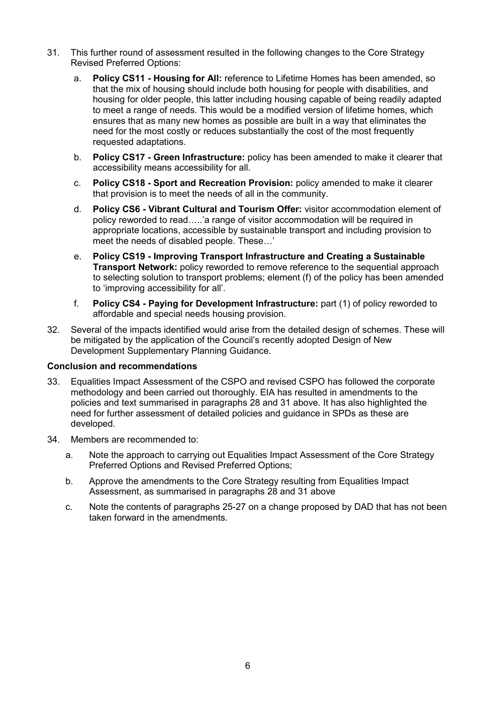- 31. This further round of assessment resulted in the following changes to the Core Strategy Revised Preferred Options:
	- a. Policy CS11 Housing for All: reference to Lifetime Homes has been amended, so that the mix of housing should include both housing for people with disabilities, and housing for older people, this latter including housing capable of being readily adapted to meet a range of needs. This would be a modified version of lifetime homes, which ensures that as many new homes as possible are built in a way that eliminates the need for the most costly or reduces substantially the cost of the most frequently requested adaptations.
	- b. Policy CS17 Green Infrastructure: policy has been amended to make it clearer that accessibility means accessibility for all.
	- c. Policy CS18 Sport and Recreation Provision: policy amended to make it clearer that provision is to meet the needs of all in the community.
	- d. Policy CS6 Vibrant Cultural and Tourism Offer: visitor accommodation element of policy reworded to read…..'a range of visitor accommodation will be required in appropriate locations, accessible by sustainable transport and including provision to meet the needs of disabled people. These…'
	- e. Policy CS19 Improving Transport Infrastructure and Creating a Sustainable **Transport Network:** policy reworded to remove reference to the sequential approach to selecting solution to transport problems; element (f) of the policy has been amended to 'improving accessibility for all'.
	- f. Policy CS4 Paying for Development Infrastructure: part (1) of policy reworded to affordable and special needs housing provision.
- 32. Several of the impacts identified would arise from the detailed design of schemes. These will be mitigated by the application of the Council's recently adopted Design of New Development Supplementary Planning Guidance.

### Conclusion and recommendations

- 33. Equalities Impact Assessment of the CSPO and revised CSPO has followed the corporate methodology and been carried out thoroughly. EIA has resulted in amendments to the policies and text summarised in paragraphs 28 and 31 above. It has also highlighted the need for further assessment of detailed policies and guidance in SPDs as these are developed.
- 34. Members are recommended to:
	- a. Note the approach to carrying out Equalities Impact Assessment of the Core Strategy Preferred Options and Revised Preferred Options;
	- b. Approve the amendments to the Core Strategy resulting from Equalities Impact Assessment, as summarised in paragraphs 28 and 31 above
	- c. Note the contents of paragraphs 25-27 on a change proposed by DAD that has not been taken forward in the amendments.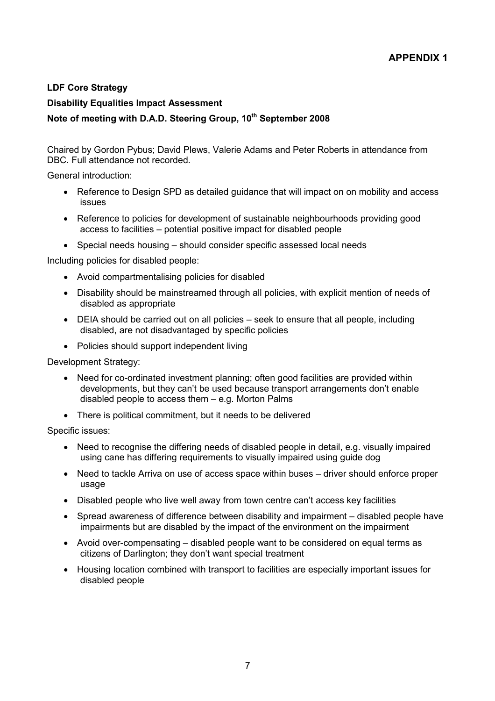### LDF Core Strategy

### Disability Equalities Impact Assessment

### Note of meeting with D.A.D. Steering Group, 10<sup>th</sup> September 2008

 Chaired by Gordon Pybus; David Plews, Valerie Adams and Peter Roberts in attendance from DBC. Full attendance not recorded.

General introduction:

- Reference to Design SPD as detailed guidance that will impact on on mobility and access issues
- Reference to policies for development of sustainable neighbourhoods providing good access to facilities – potential positive impact for disabled people
- Special needs housing should consider specific assessed local needs

Including policies for disabled people:

- Avoid compartmentalising policies for disabled
- Disability should be mainstreamed through all policies, with explicit mention of needs of disabled as appropriate
- DEIA should be carried out on all policies seek to ensure that all people, including disabled, are not disadvantaged by specific policies
- Policies should support independent living

Development Strategy:

- Need for co-ordinated investment planning; often good facilities are provided within developments, but they can't be used because transport arrangements don't enable disabled people to access them – e.g. Morton Palms
- There is political commitment, but it needs to be delivered

Specific issues:

- Need to recognise the differing needs of disabled people in detail, e.g. visually impaired using cane has differing requirements to visually impaired using guide dog
- Need to tackle Arriva on use of access space within buses driver should enforce proper usage
- Disabled people who live well away from town centre can't access key facilities
- Spread awareness of difference between disability and impairment disabled people have impairments but are disabled by the impact of the environment on the impairment
- Avoid over-compensating disabled people want to be considered on equal terms as citizens of Darlington; they don't want special treatment
- Housing location combined with transport to facilities are especially important issues for disabled people